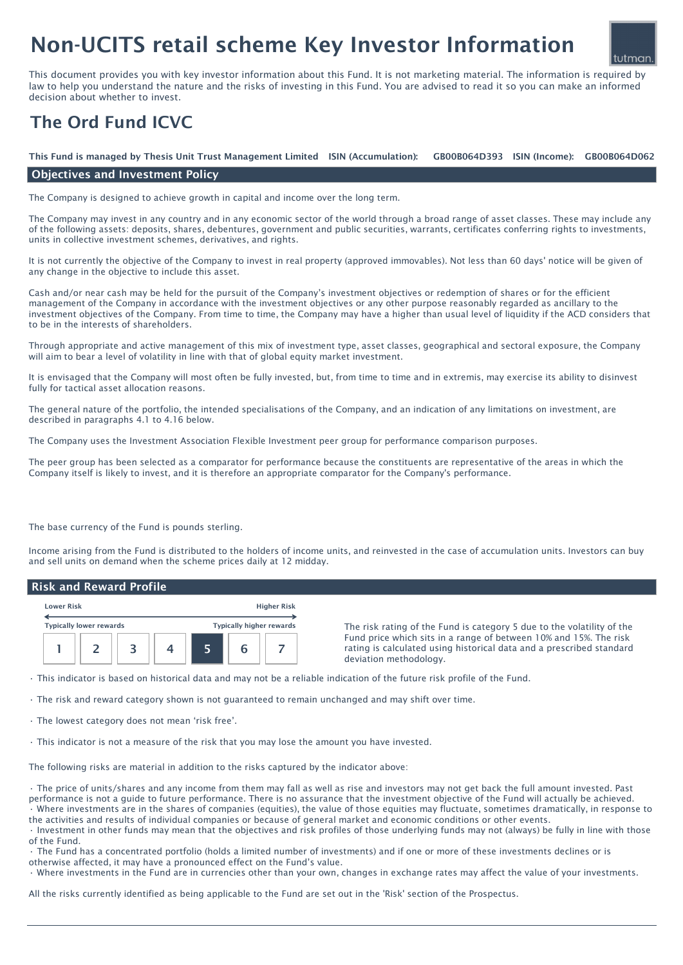# Non-UCITS retail scheme Key Investor Information



This document provides you with key investor information about this Fund. It is not marketing material. The information is required by law to help you understand the nature and the risks of investing in this Fund. You are advised to read it so you can make an informed decision about whether to invest.

## The Ord Fund ICVC

GB00B064D393 ISIN (Income): GB00B064D062 This Fund is managed by Thesis Unit Trust Management Limited ISIN (Accumulation):

### Objectives and Investment Policy

The Company is designed to achieve growth in capital and income over the long term.

The Company may invest in any country and in any economic sector of the world through a broad range of asset classes. These may include any of the following assets: deposits, shares, debentures, government and public securities, warrants, certificates conferring rights to investments, units in collective investment schemes, derivatives, and rights.

It is not currently the objective of the Company to invest in real property (approved immovables). Not less than 60 days' notice will be given of any change in the objective to include this asset.

Cash and/or near cash may be held for the pursuit of the Company's investment objectives or redemption of shares or for the efficient management of the Company in accordance with the investment objectives or any other purpose reasonably regarded as ancillary to the investment objectives of the Company. From time to time, the Company may have a higher than usual level of liquidity if the ACD considers that to be in the interests of shareholders.

Through appropriate and active management of this mix of investment type, asset classes, geographical and sectoral exposure, the Company will aim to bear a level of volatility in line with that of global equity market investment.

It is envisaged that the Company will most often be fully invested, but, from time to time and in extremis, may exercise its ability to disinvest fully for tactical asset allocation reasons.

The general nature of the portfolio, the intended specialisations of the Company, and an indication of any limitations on investment, are described in paragraphs 4.1 to 4.16 below.

The Company uses the Investment Association Flexible Investment peer group for performance comparison purposes.

The peer group has been selected as a comparator for performance because the constituents are representative of the areas in which the Company itself is likely to invest, and it is therefore an appropriate comparator for the Company's performance.

The base currency of the Fund is pounds sterling.

Income arising from the Fund is distributed to the holders of income units, and reinvested in the case of accumulation units. Investors can buy and sell units on demand when the scheme prices daily at 12 midday.

#### Risk and Reward Profile

| <b>Higher Risk</b><br><b>Lower Risk</b> |                                |  |                                 |  |   |  |
|-----------------------------------------|--------------------------------|--|---------------------------------|--|---|--|
|                                         | <b>Typically lower rewards</b> |  | <b>Typically higher rewards</b> |  |   |  |
|                                         |                                |  |                                 |  | h |  |

The risk rating of the Fund is category 5 due to the volatility of the Fund price which sits in a range of between 10% and 15%. The risk rating is calculated using historical data and a prescribed standard deviation methodology.

• This indicator is based on historical data and may not be a reliable indication of the future risk profile of the Fund.

• The risk and reward category shown is not guaranteed to remain unchanged and may shift over time.

• The lowest category does not mean 'risk free'.

• This indicator is not a measure of the risk that you may lose the amount you have invested.

The following risks are material in addition to the risks captured by the indicator above:

• The price of units/shares and any income from them may fall as well as rise and investors may not get back the full amount invested. Past performance is not a guide to future performance. There is no assurance that the investment objective of the Fund will actually be achieved.

• Where investments are in the shares of companies (equities), the value of those equities may fluctuate, sometimes dramatically, in response to the activities and results of individual companies or because of general market and economic conditions or other events.

• Investment in other funds may mean that the objectives and risk profiles of those underlying funds may not (always) be fully in line with those of the Fund.

• The Fund has a concentrated portfolio (holds a limited number of investments) and if one or more of these investments declines or is otherwise affected, it may have a pronounced effect on the Fund's value.

• Where investments in the Fund are in currencies other than your own, changes in exchange rates may affect the value of your investments.

All the risks currently identified as being applicable to the Fund are set out in the 'Risk' section of the Prospectus.